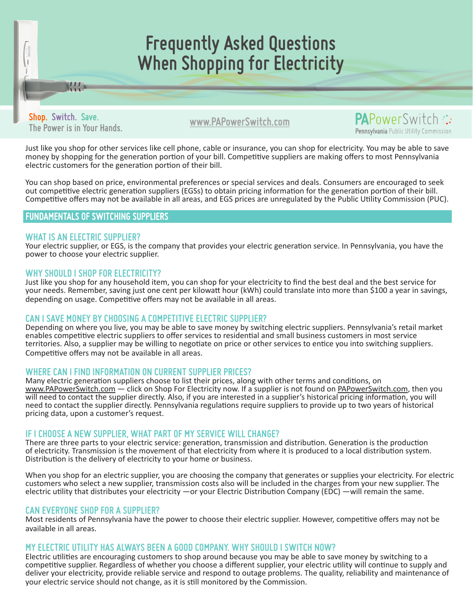# **Frequently Asked Questions When Shopping for Electricity**

**www.PAPowerSwitch.com Shop. Switch. Save. The Power is in Your Hands.**

KH.

**PA**PowerSwitc Pennsylvania Public Utility Commission

Just like you shop for other services like cell phone, cable or insurance, you can shop for electricity. You may be able to save money by shopping for the generation portion of your bill. Competitive suppliers are making offers to most Pennsylvania electric customers for the generation portion of their bill.

You can shop based on price, environmental preferences or special services and deals. Consumers are encouraged to seek out competitive electric generation suppliers (EGSs) to obtain pricing information for the generation portion of their bill. Competitive offers may not be available in all areas, and EGS prices are unregulated by the Public Utility Commission (PUC).

# FUNDAMENTALS OF SWITCHING SUPPLIERS

#### **WHAT IS AN ELECTRIC SUPPLIER?**

Your electric supplier, or EGS, is the company that provides your electric generation service. In Pennsylvania, you have the power to choose your electric supplier.

#### **WHY SHOULD I SHOP FOR ELECTRICITY?**

Just like you shop for any household item, you can shop for your electricity to find the best deal and the best service for your needs. Remember, saving just one cent per kilowatt hour (kWh) could translate into more than \$100 a year in savings, depending on usage. Competitive offers may not be available in all areas.

## **CAN I SAVE MONEY BY CHOOSING A COMPETITIVE ELECTRIC SUPPLIER?**

Depending on where you live, you may be able to save money by switching electric suppliers. Pennsylvania's retail market enables competitive electric suppliers to offer services to residential and small business customers in most service territories. Also, a supplier may be willing to negotiate on price or other services to entice you into switching suppliers. Competitive offers may not be available in all areas.

## **WHERE CAN I FIND INFORMATION ON CURRENT SUPPLIER PRICES?**

Many electric generation suppliers choose to list their prices, along with other terms and conditions, on www.PAPowerSwitch.com - click on Shop For Electricity now. If a supplier is not found on PAPowerSwitch.com, then you will need to contact the supplier directly. Also, if you are interested in a supplier's historical pricing information, you will need to contact the supplier directly. Pennsylvania regulations require suppliers to provide up to two years of historical pricing data, upon a customer's request.

#### **IF I CHOOSE A NEW SUPPLIER, WHAT PART OF MY SERVICE WILL CHANGE?**

There are three parts to your electric service: generation, transmission and distribution. Generation is the production of electricity. Transmission is the movement of that electricity from where it is produced to a local distribution system. Distribution is the delivery of electricity to your home or business.

When you shop for an electric supplier, you are choosing the company that generates or supplies your electricity. For electric customers who select a new supplier, transmission costs also will be included in the charges from your new supplier. The electric utility that distributes your electricity —or your Electric Distribution Company (EDC) —will remain the same.

#### **CAN EVERYONE SHOP FOR A SUPPLIER?**

Most residents of Pennsylvania have the power to choose their electric supplier. However, competitive offers may not be available in all areas.

#### **MY ELECTRIC UTILITY HAS ALWAYS BEEN A GOOD COMPANY. WHY SHOULD I SWITCH NOW?**

Electric utilities are encouraging customers to shop around because you may be able to save money by switching to a competitive supplier. Regardless of whether you choose a different supplier, your electric utility will continue to supply and deliver your electricity, provide reliable service and respond to outage problems. The quality, reliability and maintenance of your electric service should not change, as it is still monitored by the Commission.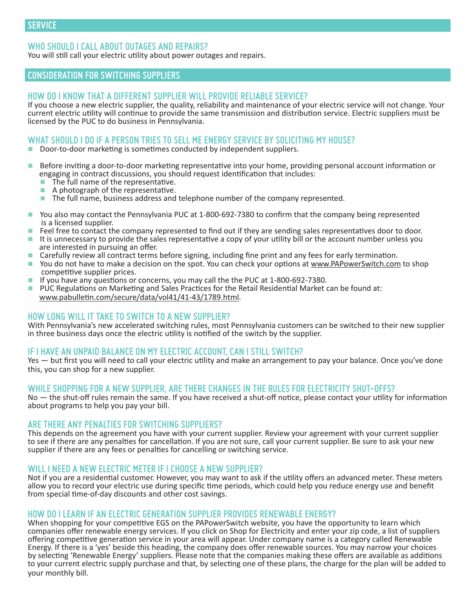## **WHO SHOULD I CALL ABOUT OUTAGES AND REPAIRS?**

You will still call your electric utility about power outages and repairs.

## **CONSIDERATION FOR SWITCHING SUPPLIERS**

#### **HOW DO I KNOW THAT A DIFFERENT SUPPLIER WILL PROVIDE RELIABLE SERVICE?**

If you choose a new electric supplier, the quality, reliability and maintenance of your electric service will not change. Your current electric utility will continue to provide the same transmission and distribution service. Electric suppliers must be licensed by the PUC to do business in Pennsylvania.

#### **WHAT SHOULD I DO IF A PERSON TRIES TO SELL ME ENERGY SERVICE BY SOLICITING MY HOUSE?**

- Door-to-door marketing is sometimes conducted by independent suppliers.
- Before inviting a door-to-door marketing representative into your home, providing personal account information or engaging in contract discussions, you should request identification that includes:
	- The full name of the representative.
	- A photograph of the representative.
	- The full name, business address and telephone number of the company represented.
- You also may contact the Pennsylvania PUC at 1-800-692-7380 to confirm that the company being represented is a licensed supplier.
- Feel free to contact the company represented to find out if they are sending sales representatives door to door.
- It is unnecessary to provide the sales representative a copy of your utility bill or the account number unless you<br>are interested in pursuing an offer.
- Carefully review all contract terms before signing, including fine print and any fees for early termination.
- You do not have to make a decision on the spot. You can check your options at www.PAPowerSwitch.com to shop competitive supplier prices.
- If you have any questions or concerns, you may call the the PUC at 1-800-692-7380.
- PUC Regulations on Marketing and Sales Practices for the Retail Residential Market can be found at: www.pabulletin.com/secure/data/vol41/41-43/1789.html.

#### **HOW LONG WILL IT TAKE TO SWITCH TO A NEW SUPPLIER?**

With Pennsylvania's new accelerated switching rules, most Pennsylvania customers can be switched to their new supplier in three business days once the electric utility is notified of the switch by the supplier.

#### **IF I HAVE AN UNPAID BALANCE ON MY ELECTRIC ACCOUNT, CAN I STILL SWITCH?**

Yes — but first you will need to call your electric utility and make an arrangement to pay your balance. Once you've done this, you can shop for a new supplier.

#### **WHILE SHOPPING FOR A NEW SUPPLIER, ARE THERE CHANGES IN THE RULES FOR ELECTRICITY SHUT-OFFS?**

No — the shut-off rules remain the same. If you have received a shut-off notice, please contact your utility for information about programs to help you pay your bill.

#### **ARE THERE ANY PENALTIES FOR SWITCHING SUPPLIERS?**

This depends on the agreement you have with your current supplier. Review your agreement with your current supplier to see if there are any penalties for cancellation. If you are not sure, call your current supplier. Be sure to ask your new supplier if there are any fees or penalties for cancelling or switching service.

#### **WILL I NEED A NEW ELECTRIC METER IF I CHOOSE A NEW SUPPLIER?**

Not if you are a residential customer. However, you may want to ask if the utility offers an advanced meter. These meters allow you to record your electric use during specific time periods, which could help you reduce energy use and benefit from special time-of-day discounts and other cost savings.

#### **HOW DO I LEARN IF AN ELECTRIC GENERATION SUPPLIER PROVIDES RENEWABLE ENERGY?**

When shopping for your competitive EGS on the PAPowerSwitch website, you have the opportunity to learn which companies offer renewable energy services. If you click on Shop for Electricity and enter your zip code, a list of suppliers offering competitive generation service in your area will appear. Under company name is a category called Renewable Energy. If there is a 'yes' beside this heading, the company does offer renewable sources. You may narrow your choices by selecting 'Renewable Energy' suppliers. Please note that the companies making these offers are available as additions to your current electric supply purchase and that, by selecting one of these plans, the charge for the plan will be added to your monthly bill.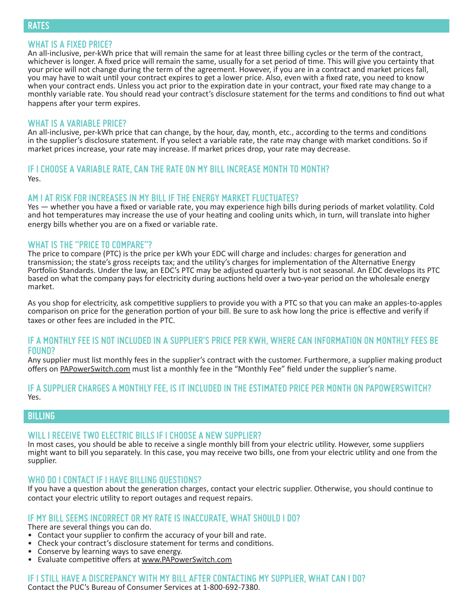#### **WHAT IS A FIXED PRICE?**

An all-inclusive, per-kWh price that will remain the same for at least three billing cycles or the term of the contract, whichever is longer. A fixed price will remain the same, usually for a set period of time. This will give you certainty that your price will not change during the term of the agreement. However, if you are in a contract and market prices fall, you may have to wait until your contract expires to get a lower price. Also, even with a fixed rate, you need to know when your contract ends. Unless you act prior to the expiration date in your contract, your fixed rate may change to a monthly variable rate. You should read your contract's disclosure statement for the terms and conditions to find out what happens after your term expires.

#### **WHAT IS A VARIABLE PRICE?**

An all-inclusive, per-kWh price that can change, by the hour, day, month, etc., according to the terms and conditions in the supplier's disclosure statement. If you select a variable rate, the rate may change with market conditions. So if market prices increase, your rate may increase. If market prices drop, your rate may decrease.

### **IF I CHOOSE A VARIABLE RATE, CAN THE RATE ON MY BILL INCREASE MONTH TO MONTH?** Yes.

#### **AM I AT RISK FOR INCREASES IN MY BILL IF THE ENERGY MARKET FLUCTUATES?**

Yes — whether you have a fixed or variable rate, you may experience high bills during periods of market volatility. Cold and hot temperatures may increase the use of your heating and cooling units which, in turn, will translate into higher energy bills whether you are on a fixed or variable rate.

#### **WHAT IS THE "PRICE TO COMPARE"?**

The price to compare (PTC) is the price per kWh your EDC will charge and includes: charges for generation and transmission; the state's gross receipts tax; and the utility's charges for implementation of the Alternative Energy Portfolio Standards. Under the law, an EDC's PTC may be adjusted quarterly but is not seasonal. An EDC develops its PTC based on what the company pays for electricity during auctions held over a two-year period on the wholesale energy market.

As you shop for electricity, ask competitive suppliers to provide you with a PTC so that you can make an apples-to-apples comparison on price for the generation portion of your bill. Be sure to ask how long the price is effective and verify if taxes or other fees are included in the PTC.

#### **IF A MONTHLY FEE IS NOT INCLUDED IN A SUPPLIER'S PRICE PER KWH, WHERE CAN INFORMATION ON MONTHLY FEES BE FOUND?**

Any supplier must list monthly fees in the supplier's contract with the customer. Furthermore, a supplier making product offers on PAPowerSwitch.com must list a monthly fee in the "Monthly Fee" field under the supplier's name.

#### **IF A SUPPLIER CHARGES A MONTHLY FEE, IS IT INCLUDED IN THE ESTIMATED PRICE PER MONTH ON PAPOWERSWITCH?** Yes.

## **BILLING**

#### **WILL I RECEIVE TWO ELECTRIC BILLS IF I CHOOSE A NEW SUPPLIER?**

In most cases, you should be able to receive a single monthly bill from your electric utility. However, some suppliers might want to bill you separately. In this case, you may receive two bills, one from your electric utility and one from the supplier.

## **WHO DO I CONTACT IF I HAVE BILLING QUESTIONS?**

If you have a question about the generation charges, contact your electric supplier. Otherwise, you should continue to contact your electric utility to report outages and request repairs.

#### **IF MY BILL SEEMS INCORRECT OR MY RATE IS INACCURATE, WHAT SHOULD I DO?**

There are several things you can do.

- Contact your supplier to confirm the accuracy of your bill and rate.
- Check your contract's disclosure statement for terms and conditions.
- Conserve by learning ways to save energy.
- Evaluate competitive offers at www.PAPowerSwitch.com

#### **IF I STILL HAVE A DISCREPANCY WITH MY BILL AFTER CONTACTING MY SUPPLIER, WHAT CAN I DO?**

Contact the PUC's Bureau of Consumer Services at 1-800-692-7380.